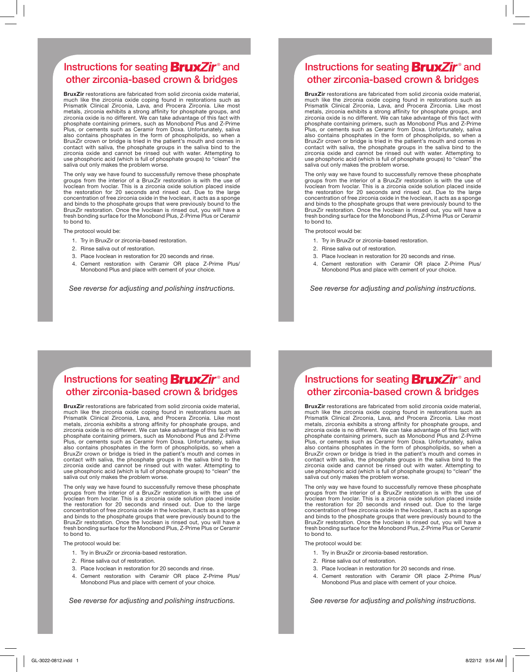## Instructions for seating **BruxZir**® and other zirconia-based crown & bridges

BruxZir restorations are fabricated from solid zirconia oxide material, much like the zirconia oxide coping found in restorations such as Prismatik Clinical Zirconia, Lava, and Procera Zirconia. Like most metals, zirconia exhibits a strong affinity for phosphate groups, and zirconia oxide is no different. We can take advantage of this fact with phosphate containing primers, such as Monobond Plus and Z-Prime Plus, or cements such as Ceramir from Doxa. Unfortunately, saliva also contains phosphates in the form of phospholipids, so when a BruxZir crown or bridge is tried in the patient's mouth and comes in contact with saliva, the phosphate groups in the saliva bind to the zirconia oxide and cannot be rinsed out with water. Attempting to use phosphoric acid (which is full of phosphate groups) to "clean" the saliva out only makes the problem worse.

The only way we have found to successfully remove these phosphate groups from the interior of a BruxZir restoration is with the use of Ivoclean from Ivoclar. This is a zirconia oxide solution placed inside the restoration for 20 seconds and rinsed out. Due to the large concentration of free zirconia oxide in the Ivoclean, it acts as a sponge and binds to the phosphate groups that were previously bound to the BruxZir restoration. Once the Ivoclean is rinsed out, you will have a fresh bonding surface for the Monobond Plus, Z-Prime Plus or Ceramir to bond to.

The protocol would be:

- 1. Try in BruxZir or zirconia-based restoration.
- 2. Rinse saliva out of restoration.
- 3. Place Ivoclean in restoration for 20 seconds and rinse.
- 4. Cement restoration with Ceramir OR place Z-Prime Plus/ Monobond Plus and place with cement of your choice.

*See reverse for adjusting and polishing instructions.*